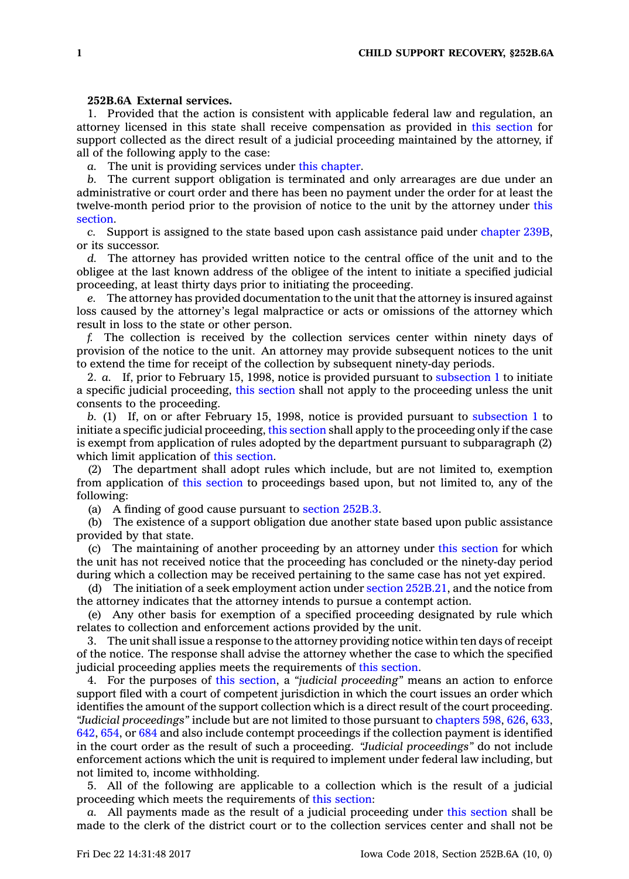## **252B.6A External services.**

1. Provided that the action is consistent with applicable federal law and regulation, an attorney licensed in this state shall receive compensation as provided in this [section](https://www.legis.iowa.gov/docs/code/252B.6A.pdf) for support collected as the direct result of <sup>a</sup> judicial proceeding maintained by the attorney, if all of the following apply to the case:

*a.* The unit is providing services under this [chapter](https://www.legis.iowa.gov/docs/code//252B.pdf).

*b.* The current support obligation is terminated and only arrearages are due under an administrative or court order and there has been no payment under the order for at least the twelve-month period prior to the provision of notice to the unit by the attorney under [this](https://www.legis.iowa.gov/docs/code/252B.6A.pdf) [section](https://www.legis.iowa.gov/docs/code/252B.6A.pdf).

*c.* Support is assigned to the state based upon cash assistance paid under [chapter](https://www.legis.iowa.gov/docs/code//239B.pdf) 239B, or its successor.

*d.* The attorney has provided written notice to the central office of the unit and to the obligee at the last known address of the obligee of the intent to initiate <sup>a</sup> specified judicial proceeding, at least thirty days prior to initiating the proceeding.

*e.* The attorney has provided documentation to the unit that the attorney is insured against loss caused by the attorney's legal malpractice or acts or omissions of the attorney which result in loss to the state or other person.

*f.* The collection is received by the collection services center within ninety days of provision of the notice to the unit. An attorney may provide subsequent notices to the unit to extend the time for receipt of the collection by subsequent ninety-day periods.

2. *a.* If, prior to February 15, 1998, notice is provided pursuant to [subsection](https://www.legis.iowa.gov/docs/code/252B.6A.pdf) 1 to initiate <sup>a</sup> specific judicial proceeding, this [section](https://www.legis.iowa.gov/docs/code/252B.6A.pdf) shall not apply to the proceeding unless the unit consents to the proceeding.

*b.* (1) If, on or after February 15, 1998, notice is provided pursuant to [subsection](https://www.legis.iowa.gov/docs/code/252B.6A.pdf) 1 to initiate <sup>a</sup> specific judicial proceeding, this [section](https://www.legis.iowa.gov/docs/code/252B.6A.pdf) shall apply to the proceeding only if the case is exempt from application of rules adopted by the department pursuant to subparagraph (2) which limit application of this [section](https://www.legis.iowa.gov/docs/code/252B.6A.pdf).

(2) The department shall adopt rules which include, but are not limited to, exemption from application of this [section](https://www.legis.iowa.gov/docs/code/252B.6A.pdf) to proceedings based upon, but not limited to, any of the following:

(a) A finding of good cause pursuant to [section](https://www.legis.iowa.gov/docs/code/252B.3.pdf) 252B.3.

(b) The existence of <sup>a</sup> support obligation due another state based upon public assistance provided by that state.

(c) The maintaining of another proceeding by an attorney under this [section](https://www.legis.iowa.gov/docs/code/252B.6A.pdf) for which the unit has not received notice that the proceeding has concluded or the ninety-day period during which <sup>a</sup> collection may be received pertaining to the same case has not yet expired.

(d) The initiation of <sup>a</sup> seek employment action under section [252B.21](https://www.legis.iowa.gov/docs/code/252B.21.pdf), and the notice from the attorney indicates that the attorney intends to pursue <sup>a</sup> contempt action.

(e) Any other basis for exemption of <sup>a</sup> specified proceeding designated by rule which relates to collection and enforcement actions provided by the unit.

3. The unit shall issue <sup>a</sup> response to the attorney providing notice within ten days of receipt of the notice. The response shall advise the attorney whether the case to which the specified judicial proceeding applies meets the requirements of this [section](https://www.legis.iowa.gov/docs/code/252B.6A.pdf).

4. For the purposes of this [section](https://www.legis.iowa.gov/docs/code/252B.6A.pdf), <sup>a</sup> *"judicial proceeding"* means an action to enforce support filed with <sup>a</sup> court of competent jurisdiction in which the court issues an order which identifies the amount of the support collection which is <sup>a</sup> direct result of the court proceeding. *"Judicial proceedings"* include but are not limited to those pursuant to [chapters](https://www.legis.iowa.gov/docs/code//598.pdf) 598, [626](https://www.legis.iowa.gov/docs/code//626.pdf), [633](https://www.legis.iowa.gov/docs/code//633.pdf), [642](https://www.legis.iowa.gov/docs/code//642.pdf), [654](https://www.legis.iowa.gov/docs/code//654.pdf), or [684](https://www.legis.iowa.gov/docs/code//684.pdf) and also include contempt proceedings if the collection payment is identified in the court order as the result of such <sup>a</sup> proceeding. *"Judicial proceedings"* do not include enforcement actions which the unit is required to implement under federal law including, but not limited to, income withholding.

5. All of the following are applicable to <sup>a</sup> collection which is the result of <sup>a</sup> judicial proceeding which meets the requirements of this [section](https://www.legis.iowa.gov/docs/code/252B.6A.pdf):

*a.* All payments made as the result of <sup>a</sup> judicial proceeding under this [section](https://www.legis.iowa.gov/docs/code/252B.6A.pdf) shall be made to the clerk of the district court or to the collection services center and shall not be